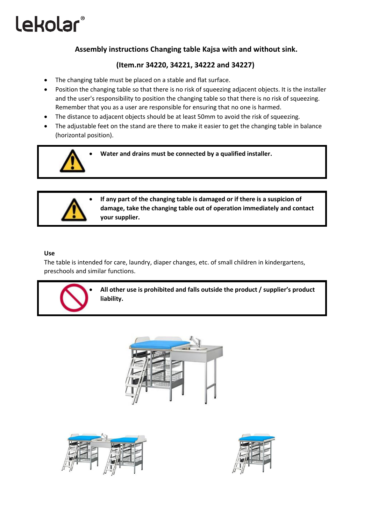# lekolar®

## **Assembly instructions Changing table Kajsa with and without sink.**

### **(Item.nr 34220, 34221, 34222 and 34227)**

- The changing table must be placed on a stable and flat surface.
- Position the changing table so that there is no risk of squeezing adjacent objects. It is the installer and the user's responsibility to position the changing table so that there is no risk of squeezing. Remember that you as a user are responsible for ensuring that no one is harmed.
- The distance to adjacent objects should be at least 50mm to avoid the risk of squeezing.
- The adjustable feet on the stand are there to make it easier to get the changing table in balance (horizontal position).



• **Water and drains must be connected by a qualified installer.**



• **If any part of the changing table is damaged or if there is a suspicion of damage, take the changing table out of operation immediately and contact your supplier.**

#### **Use**

The table is intended for care, laundry, diaper changes, etc. of small children in kindergartens, preschools and similar functions.



• **All other use is prohibited and falls outside the product / supplier's product liability.**